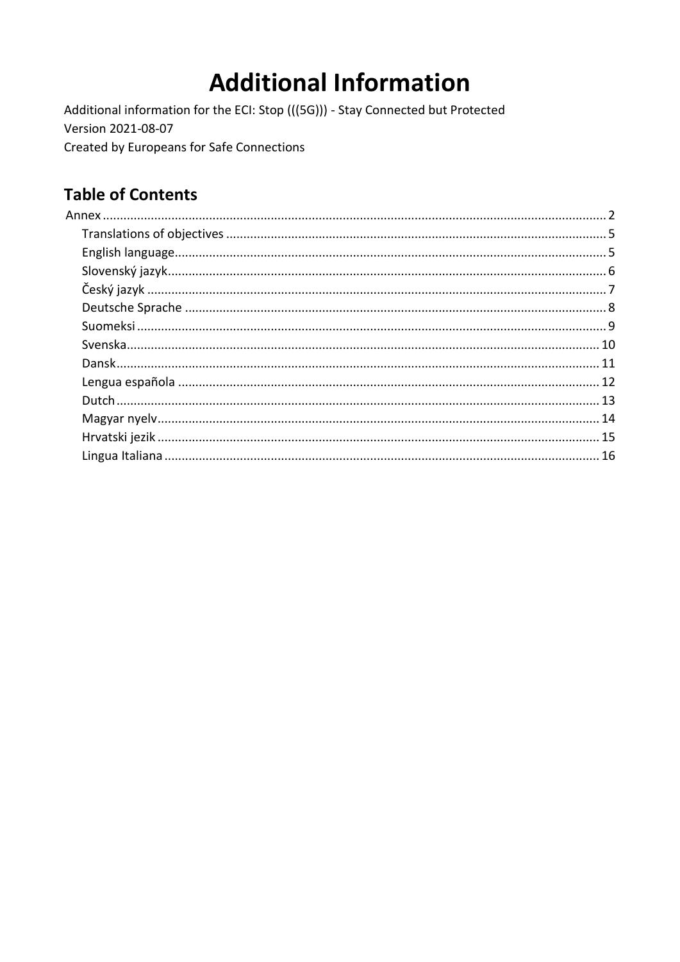# **Additional Information**

Additional information for the ECI: Stop (((5G))) - Stay Connected but Protected Version 2021-08-07 Created by Europeans for Safe Connections

## **Table of Contents**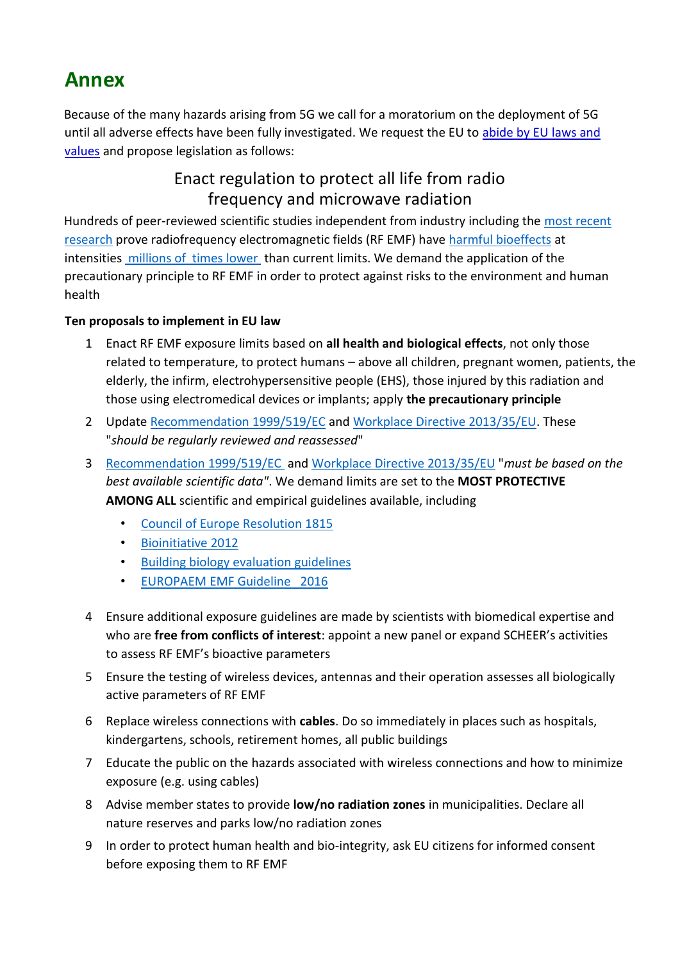## <span id="page-1-0"></span>**Annex**

Because of the many hazards arising from 5G we call for a moratorium on the deployment of 5G until all adverse effects have been fully investigated. We request the EU to abide by EU laws and values and propose legislation as follows:

## Enact regulation to protect all life from radio frequency and microwave radiation

Hundreds of peer-reviewed scientific studies independent from industry including the [most recent](https://ehtrust.org/science/top-experimental-epidemiological-studies/)  [research](https://ehtrust.org/science/top-experimental-epidemiological-studies/) prove radiofrequency electromagnetic fields (RF EMF) have [harmful bioeffects](https://www.sciencedirect.com/science/article/pii/S0891061815000599#tbl0020) at intensities [millions of times lower](https://www.researchgate.net/publication/283017154_How_to_Approach_the_Challenge_of_Minimizing_Non-Thermal_Health_Effects_of_Microwave_Radiation_from_Electrical_Devices) than current limits. We demand the application of the precautionary principle to RF EMF in order to protect against risks to the environment and human health

#### **Ten proposals to implement in EU law**

- 1 Enact RF EMF exposure limits based on **all health and biological effects**, not only those related to temperature, to protect humans – above all children, pregnant women, patients, the elderly, the infirm, electrohypersensitive people (EHS), those injured by this radiation and those using electromedical devices or implants; apply **the precautionary principle**
- 2 Update [Recommendation 1999/519/EC](https://eur-lex.europa.eu/legal-content/EN/TXT/?uri=celex:31999H0519) and [Workplace Directive 2013/35/EU.](https://eur-lex.europa.eu/legal-content/EN/TXT/?uri=celex%3A32013L0035) These "*should be regularly reviewed and reassessed*"
- 3 [Recommendation 1999/519/EC](https://eur-lex.europa.eu/legal-content/EN/TXT/?uri=celex:31999H0519) and [Workplace Directive 2013/35/EU](https://eur-lex.europa.eu/legal-content/EN/TXT/?uri=celex%3A32013L0035) "*must be based on the best available scientific data"*. We demand limits are set to the **MOST PROTECTIVE AMONG ALL** scientific and empirical guidelines available, including
	- [Council of Europe Resolution 1815](http://assembly.coe.int/nw/xml/XRef/Xref-XML2HTML-en.asp?fileid=17994&)
	- [Bioinitiative 2012](https://bioinitiative.org/conclusions/)
	- [Building biology evaluation guidelines](http://www.emfinspect.com/wp-content/uploads/2018/07/SBM-Germany-2015.pdf)
	- [EUROPAEM EMF Guideline 2016](https://pubmed.ncbi.nlm.nih.gov/27454111)
- 4 Ensure additional exposure guidelines are made by scientists with biomedical expertise and who are **free from conflicts of interest**: appoint a new panel or expand SCHEER's activities to assess RF EMF's bioactive parameters
- 5 Ensure the testing of wireless devices, antennas and their operation assesses all biologically active parameters of RF EMF
- 6 Replace wireless connections with **cables**. Do so immediately in places such as hospitals, kindergartens, schools, retirement homes, all public buildings
- 7 Educate the public on the hazards associated with wireless connections and how to minimize exposure (e.g. using cables)
- 8 Advise member states to provide **low/no radiation zones** in municipalities. Declare all nature reserves and parks low/no radiation zones
- 9 In order to protect human health and bio-integrity, ask EU citizens for informed consent before exposing them to RF EMF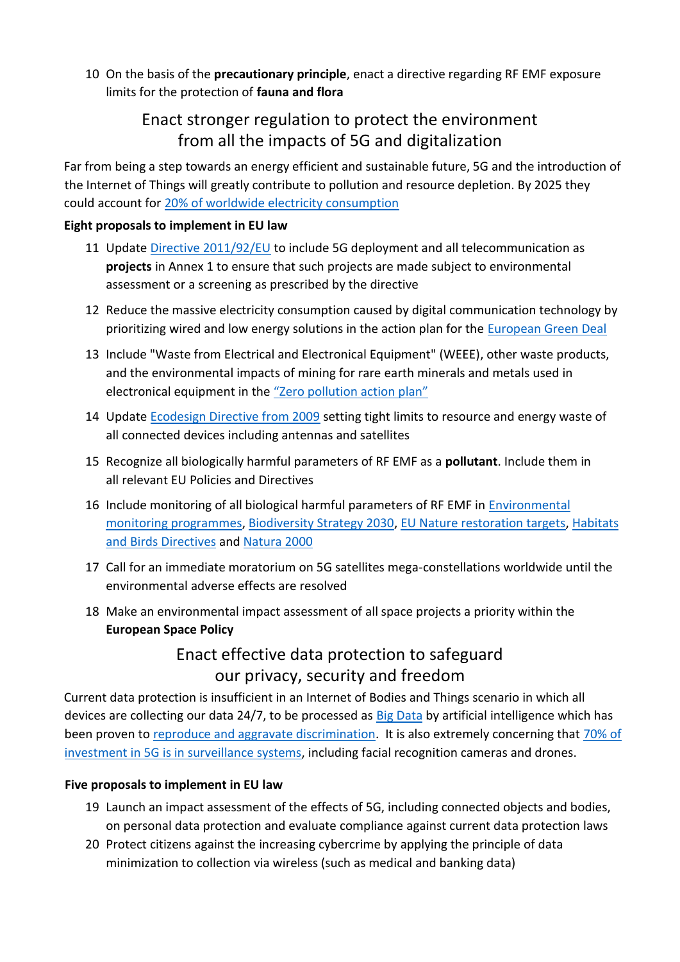10 On the basis of the **precautionary principle**, enact a directive regarding RF EMF exposure limits for the protection of **fauna and flora**

### Enact stronger regulation to protect the environment from all the impacts of 5G and digitalization

Far from being a step towards an energy efficient and sustainable future, 5G and the introduction of the Internet of Things will greatly contribute to pollution and resource depletion. By 2025 they could account for [20% of worldwide electricity consumption](https://www.researchgate.net/publication/320225452_Total_Consumer_Power_Consumption_Forecast) 

#### **Eight proposals to implement in EU law**

- 11 Update [Directive 2011/92/EU](https://eur-lex.europa.eu/legal-content/EN/TXT/?uri=celex%3A32011L0092) to include 5G deployment and all telecommunication as **projects** in Annex 1 to ensure that such projects are made subject to environmental assessment or a screening as prescribed by the directive
- 12 Reduce the massive electricity consumption caused by digital communication technology by prioritizing wired and low energy solutions in the action plan for the [European Green Deal](https://ec.europa.eu/info/strategy/priorities-2019-2024/european-green-deal_en)
- 13 Include "Waste from Electrical and Electronical Equipment" (WEEE), other waste products, and the environmental impacts of mining for rare earth minerals and metals used in electronical equipment in the ["Zero pollution action plan"](https://ec.europa.eu/environment/strategy/zero-pollution-action-plan_en)
- 14 Update [Ecodesign Directive from 2009](https://eur-lex.europa.eu/legal-content/EN/ALL/?uri=CELEX%3A32009L0125) setting tight limits to resource and energy waste of all connected devices including antennas and satellites
- 15 Recognize all biologically harmful parameters of RF EMF as a **pollutant**. Include them in all relevant EU Policies and Directives
- 16 I[n](https://ec.europa.eu/jrc/en/research-topic/environmental-monitoring)clude monitoring of all biological harmful parameters of RF EMF in Environmental [monitoring programmes,](https://ec.europa.eu/jrc/en/research-topic/environmental-monitoring) [Biodiversity Strategy 2030,](https://ec.europa.eu/environment/strategy/biodiversity-strategy-2030_en) [EU Nature restoration targets,](https://ec.europa.eu/environment/strategy/biodiversity-strategy-2030/eu-nature-restoration-targets_en) [Habitats](https://ec.europa.eu/environment/nature/legislation/index_en.htm)  [and Birds Directives](https://ec.europa.eu/environment/nature/legislation/index_en.htm) and [Natura 2000](https://ec.europa.eu/environment/nature/natura2000/index_en.htm)
- 17 Call for an immediate moratorium on 5G satellites mega-constellations worldwide until the environmental adverse effects are resolved
- 18 Make an environmental impact assessment of all space projects a priority within the **European Space Policy**

## Enact effective data protection to safeguard our privacy, security and freedom

Current data protection is insufficient in an Internet of Bodies and Things scenario in which all devices are collecting our data 24/7, to be processed as **Big Data by artificial intelligence which** has been proven to [reproduce and aggravate discrimination.](https://www.scientificamerican.com/article/how-a-machine-learns-prejudice/) It is also extremely concerning that [70% of](https://enterpriseiotinsights.com/20191024/channels/news/surveillance-cams-and-c-v2x-to-take-70-of-5g-iot-share-says-gartner)  [investment in 5G is in surveillance systems,](https://enterpriseiotinsights.com/20191024/channels/news/surveillance-cams-and-c-v2x-to-take-70-of-5g-iot-share-says-gartner) including facial recognition cameras and drones.

#### **Five proposals to implement in EU law**

- 19 Launch an impact assessment of the effects of 5G, including connected objects and bodies, on personal data protection and evaluate compliance against current data protection laws
- 20 Protect citizens against the increasing cybercrime by applying the principle of data minimization to collection via wireless (such as medical and banking data)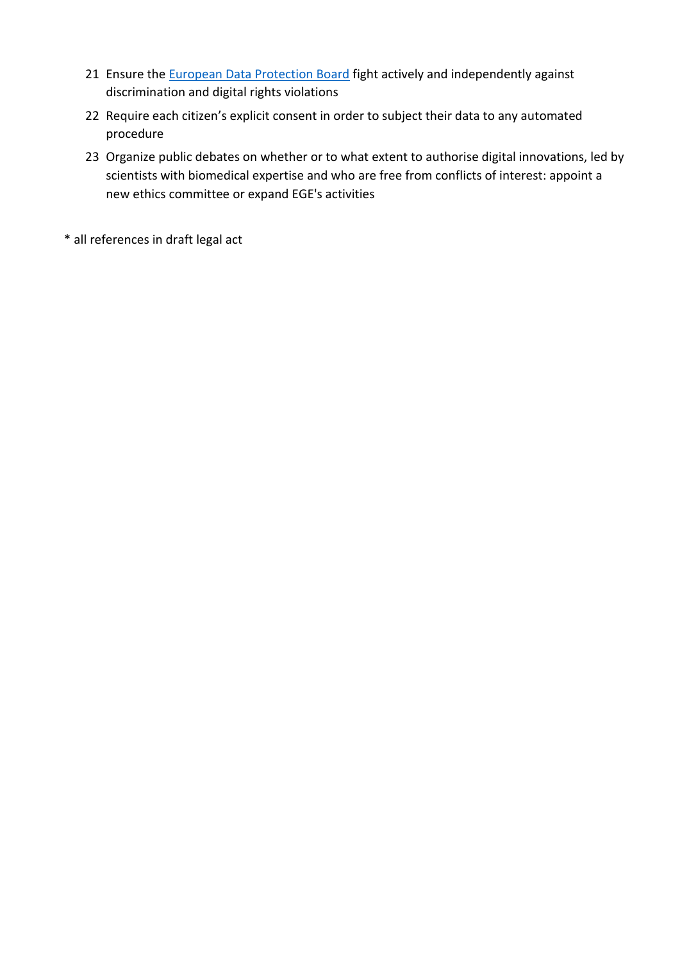- 21 Ensure the [European Data Protection Board](https://edpb.europa.eu/edpb_en) fight actively and independently against discrimination and digital rights violations
- 22 Require each citizen's explicit consent in order to subject their data to any automated procedure
- 23 Organize public debates on whether or to what extent to authorise digital innovations, led by scientists with biomedical expertise and who are free from conflicts of interest: appoint a new ethics committee or expand EGE's activities
- \* all references in draft legal act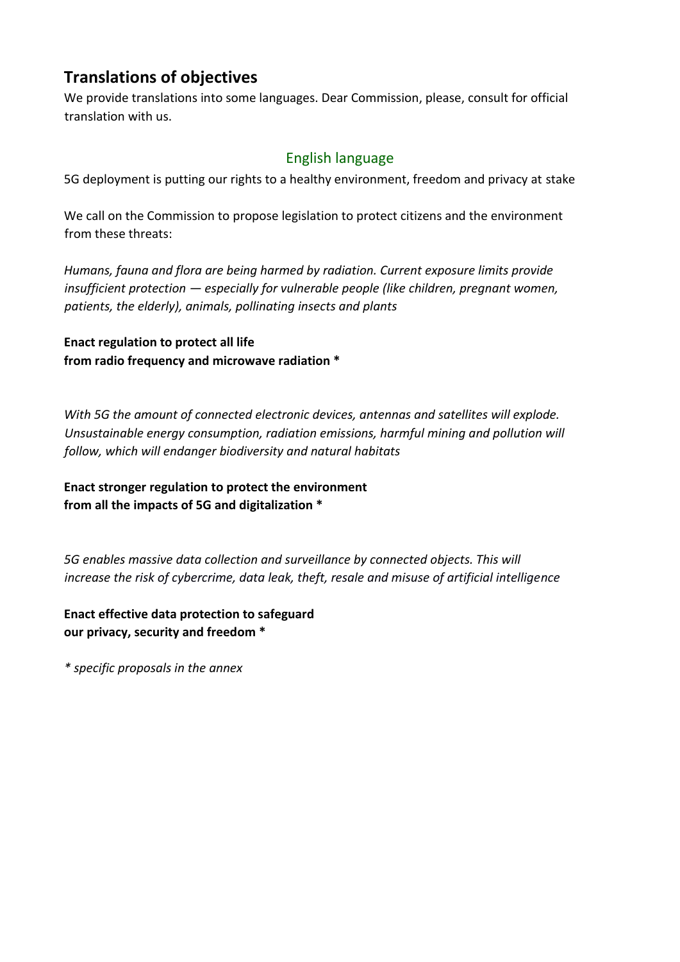## <span id="page-4-0"></span>**Translations of objectives**

We provide translations into some languages. Dear Commission, please, consult for official translation with us.

#### English language

<span id="page-4-1"></span>5G deployment is putting our rights to a healthy environment, freedom and privacy at stake

We call on the Commission to propose legislation to protect citizens and the environment from these threats:

*Humans, fauna and flora are being harmed by radiation. Current exposure limits provide insufficient protection — especially for vulnerable people (like children, pregnant women, patients, the elderly), animals, pollinating insects and plants* 

**Enact regulation to protect all life from radio frequency and microwave radiation \***

*With 5G the amount of connected electronic devices, antennas and satellites will explode. Unsustainable energy consumption, radiation emissions, harmful mining and pollution will follow, which will endanger biodiversity and natural habitats*

**Enact stronger regulation to protect the environment from all the impacts of 5G and digitalization \***

*5G enables massive data collection and surveillance by connected objects. This will increase the risk of cybercrime, data leak, theft, resale and misuse of artificial intelligence*

**Enact effective data protection to safeguard our privacy, security and freedom \***

<span id="page-4-2"></span>*\* specific proposals in the annex*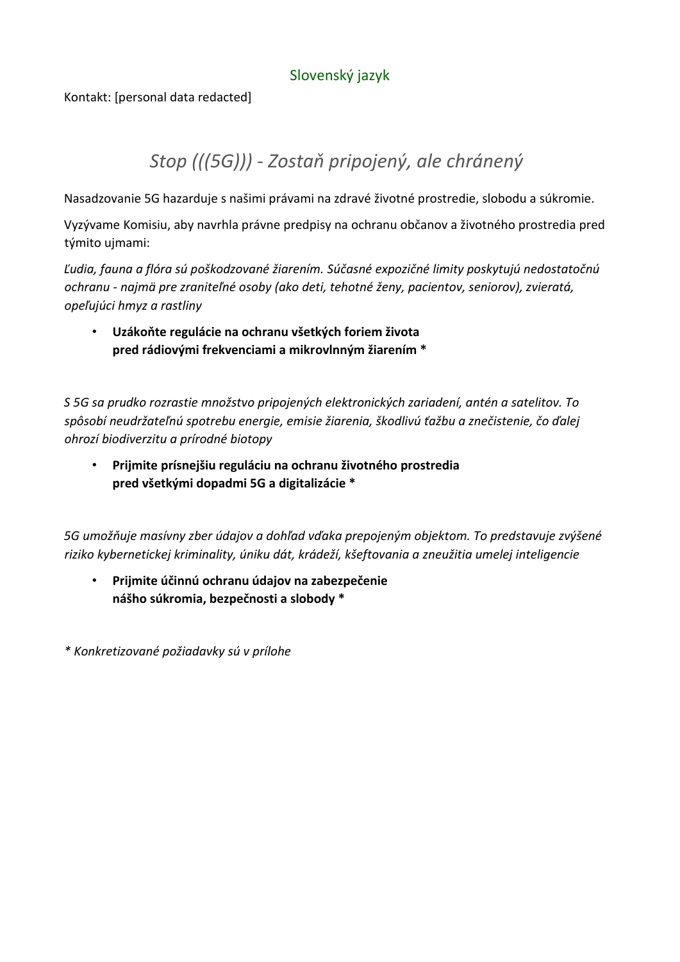#### Slovenský jazyk

Kontakt: [personal data redacted]

## *Stop (((5G))) - Zostaň pripojený, ale chránený*

Nasadzovanie 5G hazarduje s našimi právami na zdravé životné prostredie, slobodu a súkromie.

Vyzývame Komisiu, aby navrhla právne predpisy na ochranu občanov a životného prostredia pred týmito ujmami:

*Ľudia, fauna a flóra sú poškodzované žiarením. Súčasné expozičné limity poskytujú nedostatočnú ochranu - najmä pre zraniteľné osoby (ako deti, tehotné ženy, pacientov, seniorov), zvieratá, opeľujúci hmyz a rastliny*

• **Uzákoňte regulácie na ochranu všetkých foriem života pred rádiovými frekvenciami a mikrovlnným žiarením \***

*S 5G sa prudko rozrastie množstvo pripojených elektronických zariadení, antén a satelitov. To spôsobí neudržateľnú spotrebu energie, emisie žiarenia, škodlivú ťažbu a znečistenie, čo ďalej ohrozí biodiverzitu a prírodné biotopy* 

• **Prijmite prísnejšiu reguláciu na ochranu životného prostredia pred všetkými dopadmi 5G a digitalizácie \***

*5G umožňuje masívny zber údajov a dohľad vďaka prepojeným objektom. To predstavuje zvýšené riziko kybernetickej kriminality, úniku dát, krádeží, kšeftovania a zneužitia umelej inteligencie*

• **Prijmite účinnú ochranu údajov na zabezpečenie nášho súkromia, bezpečnosti a slobody \***

<span id="page-5-0"></span>*\* Konkretizované požiadavky sú v prílohe*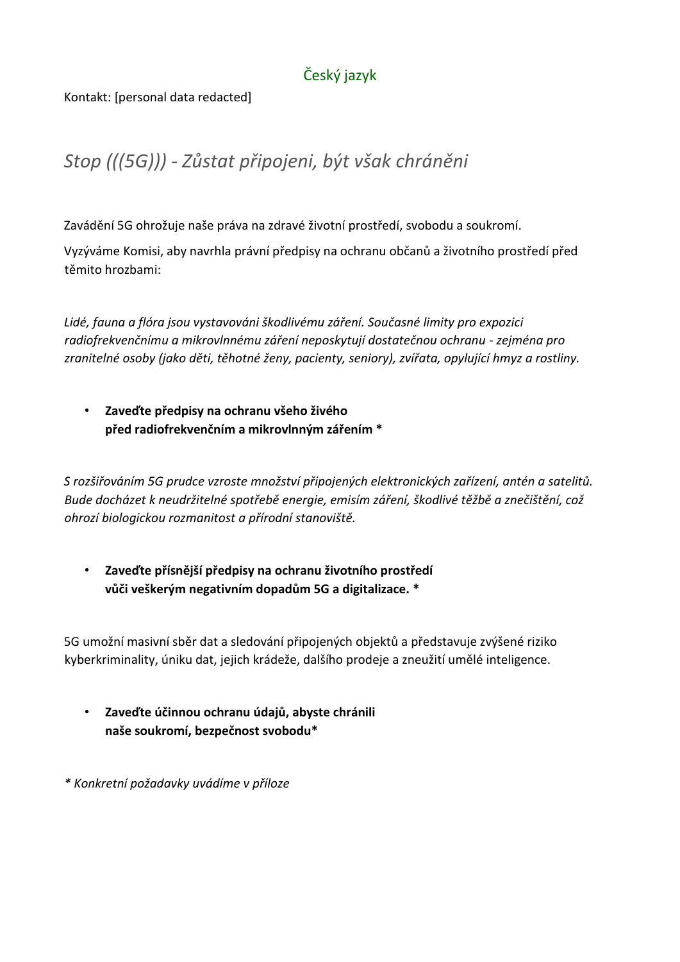### Český jazyk

#### Kontakt: [personal data redacted]

## *Stop (((5G))) - Zůstat připojeni, být však chráněni*

Zavádění 5G ohrožuje naše práva na zdravé životní prostředí, svobodu a soukromí.

Vyzýváme Komisi, aby navrhla právní předpisy na ochranu občanů a životního prostředí před těmito hrozbami:

*Lidé, fauna a flóra jsou vystavováni škodlivému záření. Současné limity pro expozici radiofrekvenčnímu a mikrovlnnému záření neposkytují dostatečnou ochranu - zejména pro zranitelné osoby (jako děti, těhotné ženy, pacienty, seniory), zvířata, opylující hmyz a rostliny.*

• **Zaveďte předpisy na ochranu všeho živého před radiofrekvenčním a mikrovlnným zářením \***

*S rozšiřováním 5G prudce vzroste množství připojených elektronických zařízení, antén a satelitů. Bude docházet k neudržitelné spotřebě energie, emisím záření, škodlivé těžbě a znečištění, což ohrozí biologickou rozmanitost a přírodní stanoviště.*

• **Zaveďte přísnější předpisy na ochranu životního prostředí vůči veškerým negativním dopadům 5G a digitalizace. \***

5G umožní masivní sběr dat a sledování připojených objektů a představuje zvýšené riziko kyberkriminality, úniku dat, jejich krádeže, dalšího prodeje a zneužití umělé inteligence.

- **Zaveďte účinnou ochranu údajů, abyste chránili naše soukromí, bezpečnost svobodu\***
- <span id="page-6-0"></span>*\* Konkretní požadavky uvádíme v příloze*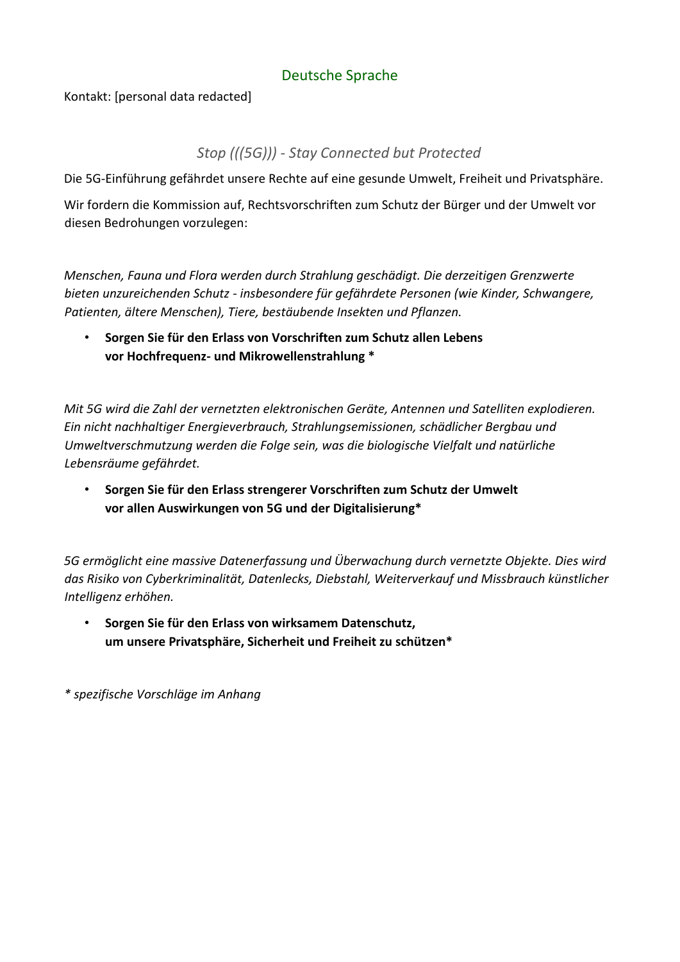#### Deutsche Sprache

Kontakt: [personal data redacted]

#### *Stop (((5G))) - Stay Connected but Protected*

Die 5G-Einführung gefährdet unsere Rechte auf eine gesunde Umwelt, Freiheit und Privatsphäre.

Wir fordern die Kommission auf, Rechtsvorschriften zum Schutz der Bürger und der Umwelt vor diesen Bedrohungen vorzulegen:

*Menschen, Fauna und Flora werden durch Strahlung geschädigt. Die derzeitigen Grenzwerte bieten unzureichenden Schutz - insbesondere für gefährdete Personen (wie Kinder, Schwangere, Patienten, ältere Menschen), Tiere, bestäubende Insekten und Pflanzen.*

• **Sorgen Sie für den Erlass von Vorschriften zum Schutz allen Lebens vor Hochfrequenz- und Mikrowellenstrahlung \***

*Mit 5G wird die Zahl der vernetzten elektronischen Geräte, Antennen und Satelliten explodieren. Ein nicht nachhaltiger Energieverbrauch, Strahlungsemissionen, schädlicher Bergbau und Umweltverschmutzung werden die Folge sein, was die biologische Vielfalt und natürliche Lebensräume gefährdet.*

• **Sorgen Sie für den Erlass strengerer Vorschriften zum Schutz der Umwelt vor allen Auswirkungen von 5G und der Digitalisierung\***

*5G ermöglicht eine massive Datenerfassung und Überwachung durch vernetzte Objekte. Dies wird das Risiko von Cyberkriminalität, Datenlecks, Diebstahl, Weiterverkauf und Missbrauch künstlicher Intelligenz erhöhen.*

• **Sorgen Sie für den Erlass von wirksamem Datenschutz, um unsere Privatsphäre, Sicherheit und Freiheit zu schützen\***

<span id="page-7-0"></span>*\* spezifische Vorschläge im Anhang*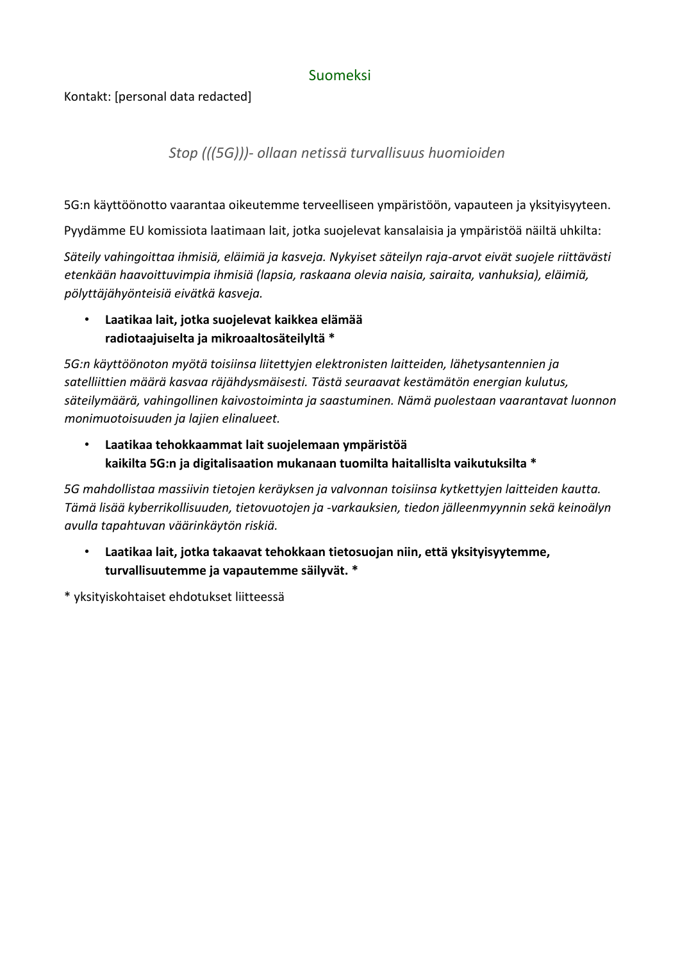#### Suomeksi

#### Kontakt: [personal data redacted]

*Stop (((5G)))- ollaan netissä turvallisuus huomioiden* 

5G:n käyttöönotto vaarantaa oikeutemme terveelliseen ympäristöön, vapauteen ja yksityisyyteen.

Pyydämme EU komissiota laatimaan lait, jotka suojelevat kansalaisia ja ympäristöä näiltä uhkilta:

*Säteily vahingoittaa ihmisiä, eläimiä ja kasveja. Nykyiset säteilyn raja-arvot eivät suojele riittävästi etenkään haavoittuvimpia ihmisiä (lapsia, raskaana olevia naisia, sairaita, vanhuksia), eläimiä, pölyttäjähyönteisiä eivätkä kasveja.*

• **Laatikaa lait, jotka suojelevat kaikkea elämää radiotaajuiselta ja mikroaaltosäteilyltä \***

*5G:n käyttöönoton myötä toisiinsa liitettyjen elektronisten laitteiden, lähetysantennien ja satelliittien määrä kasvaa räjähdysmäisesti. Tästä seuraavat kestämätön energian kulutus, säteilymäärä, vahingollinen kaivostoiminta ja saastuminen. Nämä puolestaan vaarantavat luonnon monimuotoisuuden ja lajien elinalueet.*

• **Laatikaa tehokkaammat lait suojelemaan ympäristöä kaikilta 5G:n ja digitalisaation mukanaan tuomilta haitallislta vaikutuksilta \***

*5G mahdollistaa massiivin tietojen keräyksen ja valvonnan toisiinsa kytkettyjen laitteiden kautta. Tämä lisää kyberrikollisuuden, tietovuotojen ja -varkauksien, tiedon jälleenmyynnin sekä keinoälyn avulla tapahtuvan väärinkäytön riskiä.*

• **Laatikaa lait, jotka takaavat tehokkaan tietosuojan niin, että yksityisyytemme, turvallisuutemme ja vapautemme säilyvät. \***

<span id="page-8-0"></span>\* yksityiskohtaiset ehdotukset liitteessä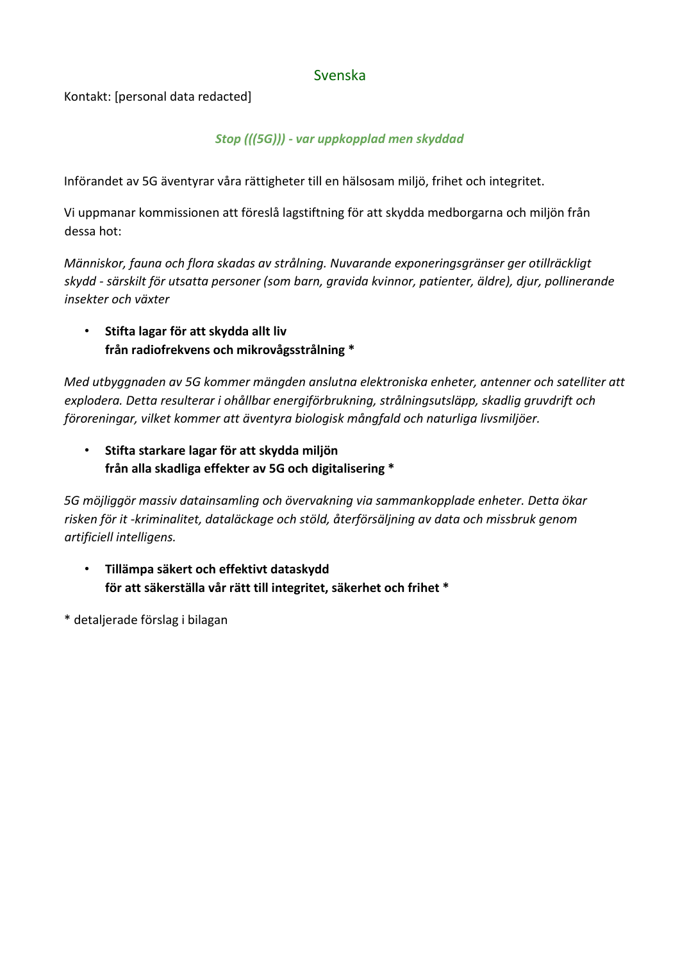#### Svenska

Kontakt: [personal data redacted]

#### *Stop (((5G))) - var uppkopplad men skyddad*

Införandet av 5G äventyrar våra rättigheter till en hälsosam miljö, frihet och integritet.

Vi uppmanar kommissionen att föreslå lagstiftning för att skydda medborgarna och miljön från dessa hot:

*Människor, fauna och flora skadas av strålning. Nuvarande exponeringsgränser ger otillräckligt skydd - särskilt för utsatta personer (som barn, gravida kvinnor, patienter, äldre), djur, pollinerande insekter och växter*

• **Stifta lagar för att skydda allt liv från radiofrekvens och mikrovågsstrålning \***

*Med utbyggnaden av 5G kommer mängden anslutna elektroniska enheter, antenner och satelliter att explodera. Detta resulterar i ohållbar energiförbrukning, strålningsutsläpp, skadlig gruvdrift och föroreningar, vilket kommer att äventyra biologisk mångfald och naturliga livsmiljöer.*

• **Stifta starkare lagar för att skydda miljön från alla skadliga effekter av 5G och digitalisering \***

*5G möjliggör massiv datainsamling och övervakning via sammankopplade enheter. Detta ökar risken för it -kriminalitet, dataläckage och stöld, återförsäljning av data och missbruk genom artificiell intelligens.*

- **Tillämpa säkert och effektivt dataskydd för att säkerställa vår rätt till integritet, säkerhet och frihet \***
- <span id="page-9-0"></span>\* detaljerade förslag i bilagan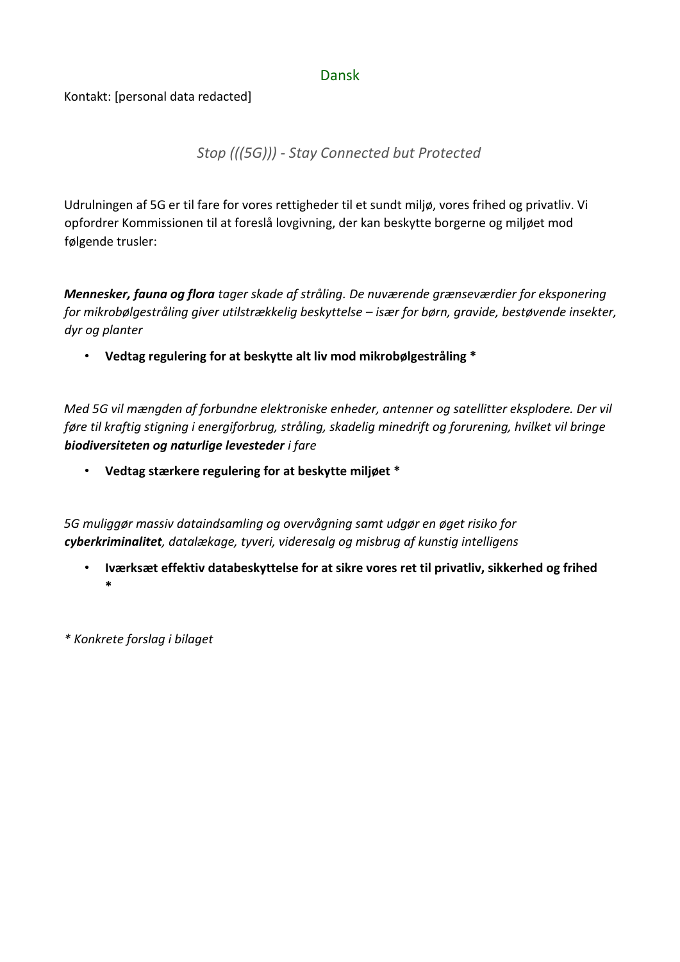#### Dansk

#### Kontakt: [personal data redacted]

#### *Stop (((5G))) - Stay Connected but Protected*

Udrulningen af 5G er til fare for vores rettigheder til et sundt miljø, vores frihed og privatliv. Vi opfordrer Kommissionen til at foreslå lovgivning, der kan beskytte borgerne og miljøet mod følgende trusler:

*Mennesker, fauna og flora tager skade af stråling. De nuværende grænseværdier for eksponering for mikrobølgestråling giver utilstrækkelig beskyttelse – især for børn, gravide, bestøvende insekter, dyr og planter* 

• **Vedtag regulering for at beskytte alt liv mod mikrobølgestråling \*** 

*Med 5G vil mængden af forbundne elektroniske enheder, antenner og satellitter eksplodere. Der vil føre til kraftig stigning i energiforbrug, stråling, skadelig minedrift og forurening, hvilket vil bringe biodiversiteten og naturlige levesteder i fare*

• **Vedtag stærkere regulering for at beskytte miljøet \***

*5G muliggør massiv dataindsamling og overvågning samt udgør en øget risiko for cyberkriminalitet, datalækage, tyveri, videresalg og misbrug af kunstig intelligens*

• **Iværksæt effektiv databeskyttelse for at sikre vores ret til privatliv, sikkerhed og frihed \***

*\* Konkrete forslag i bilaget*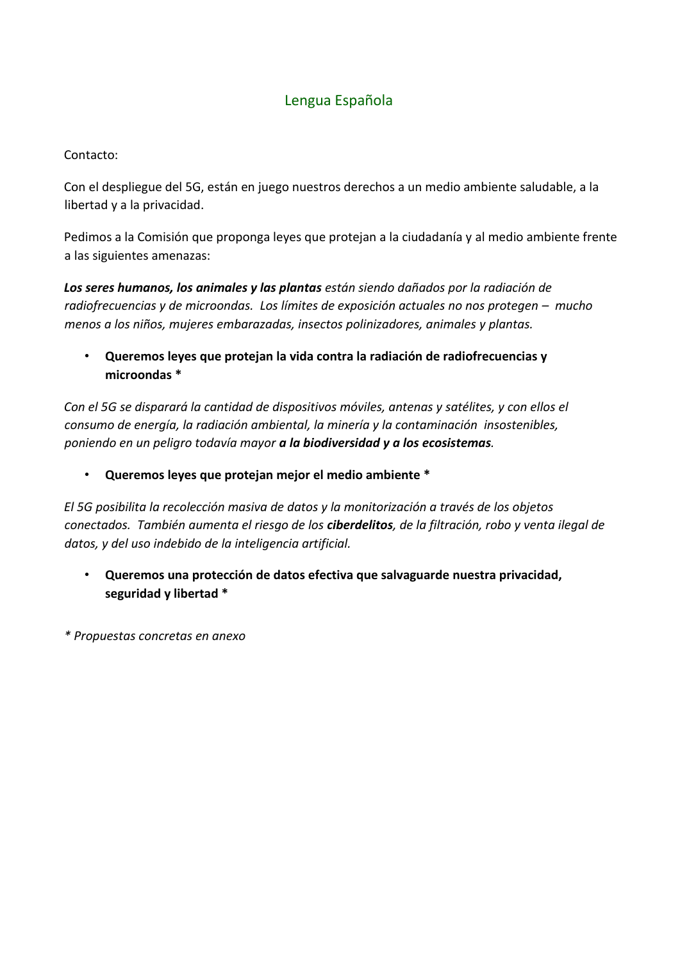#### Lengua Española

#### <span id="page-11-0"></span>Contacto:

Con el despliegue del 5G, están en juego nuestros derechos a un medio ambiente saludable, a la libertad y a la privacidad.

Pedimos a la Comisión que proponga leyes que protejan a la ciudadanía y al medio ambiente frente a las siguientes amenazas:

*Los seres humanos, los animales y las plantas están siendo dañados por la radiación de radiofrecuencias y de microondas. Los límites de exposición actuales no nos protegen – mucho menos a los niños, mujeres embarazadas, insectos polinizadores, animales y plantas.*

• **Queremos leyes que protejan la vida contra la radiación de radiofrecuencias y microondas \***

*Con el 5G se disparará la cantidad de dispositivos móviles, antenas y satélites, y con ellos el consumo de energía, la radiación ambiental, la minería y la contaminación insostenibles, poniendo en un peligro todavía mayor a la biodiversidad y a los ecosistemas.* 

• **Queremos leyes que protejan mejor el medio ambiente \***

*El 5G posibilita la recolección masiva de datos y la monitorización a través de los objetos conectados. También aumenta el riesgo de los ciberdelitos, de la filtración, robo y venta ilegal de datos, y del uso indebido de la inteligencia artificial.* 

• **Queremos una protección de datos efectiva que salvaguarde nuestra privacidad, seguridad y libertad \***

*\* Propuestas concretas en anexo*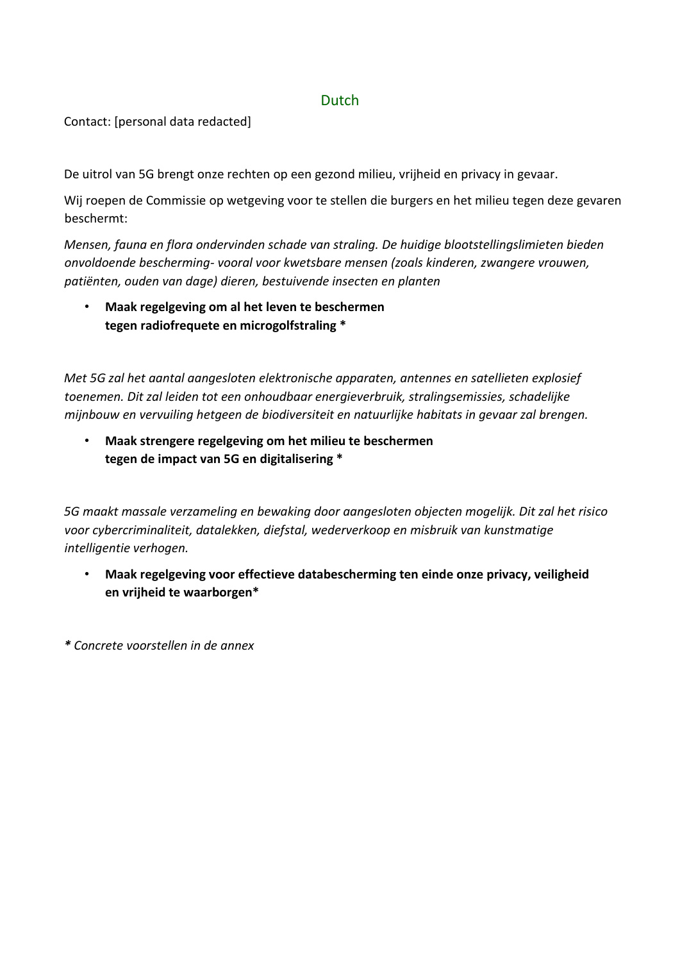#### Dutch

<span id="page-12-0"></span>Contact: [personal data redacted]

De uitrol van 5G brengt onze rechten op een gezond milieu, vrijheid en privacy in gevaar.

Wij roepen de Commissie op wetgeving voor te stellen die burgers en het milieu tegen deze gevaren beschermt:

*Mensen, fauna en flora ondervinden schade van straling. De huidige blootstellingslimieten bieden onvoldoende bescherming- vooral voor kwetsbare mensen (zoals kinderen, zwangere vrouwen, patiënten, ouden van dage) dieren, bestuivende insecten en planten*

• **Maak regelgeving om al het leven te beschermen tegen radiofrequete en microgolfstraling \***

*Met 5G zal het aantal aangesloten elektronische apparaten, antennes en satellieten explosief toenemen. Dit zal leiden tot een onhoudbaar energieverbruik, stralingsemissies, schadelijke mijnbouw en vervuiling hetgeen de biodiversiteit en natuurlijke habitats in gevaar zal brengen.* 

• **Maak strengere regelgeving om het milieu te beschermen tegen de impact van 5G en digitalisering \***

*5G maakt massale verzameling en bewaking door aangesloten objecten mogelijk. Dit zal het risico voor cybercriminaliteit, datalekken, diefstal, wederverkoop en misbruik van kunstmatige intelligentie verhogen.*

• **Maak regelgeving voor effectieve databescherming ten einde onze privacy, veiligheid en vrijheid te waarborgen\***

<span id="page-12-1"></span>*\* Concrete voorstellen in de annex*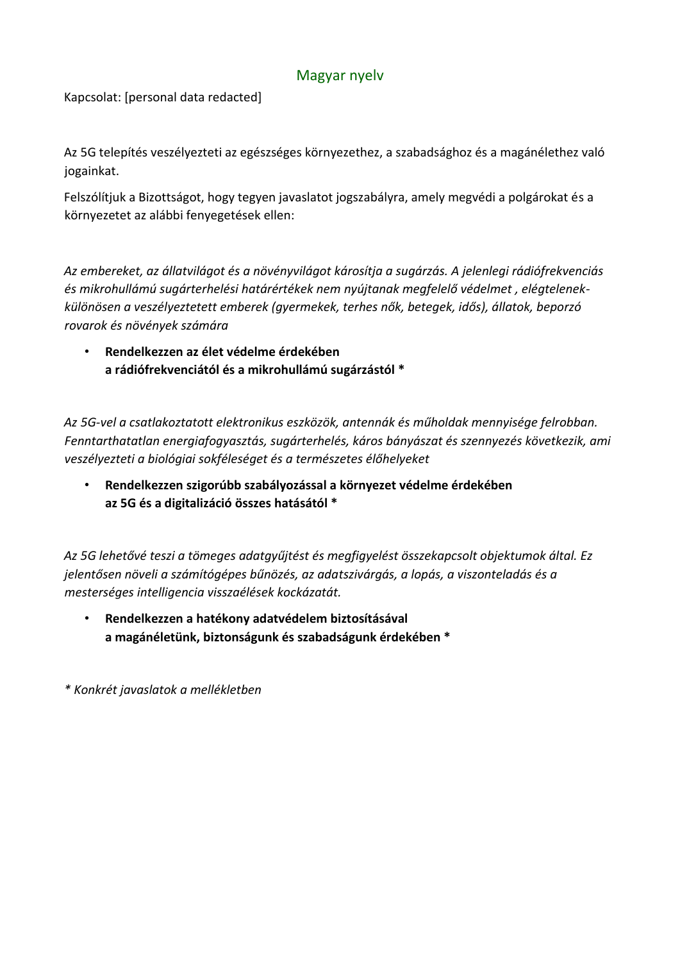#### Magyar nyelv

Kapcsolat: [personal data redacted]

Az 5G telepítés veszélyezteti az egészséges környezethez, a szabadsághoz és a magánélethez való jogainkat.

Felszólítjuk a Bizottságot, hogy tegyen javaslatot jogszabályra, amely megvédi a polgárokat és a környezetet az alábbi fenyegetések ellen:

*Az embereket, az állatvilágot és a növényvilágot károsítja a sugárzás. A jelenlegi rádiófrekvenciás és mikrohullámú sugárterhelési határértékek nem nyújtanak megfelelő védelmet , elégtelenekkülönösen a veszélyeztetett emberek (gyermekek, terhes nők, betegek, idős), állatok, beporzó rovarok és növények számára*

• **Rendelkezzen az élet védelme érdekében a rádiófrekvenciától és a mikrohullámú sugárzástól \***

*Az 5G-vel a csatlakoztatott elektronikus eszközök, antennák és műholdak mennyisége felrobban. Fenntarthatatlan energiafogyasztás, sugárterhelés, káros bányászat és szennyezés következik, ami veszélyezteti a biológiai sokféleséget és a természetes élőhelyeket*

• **Rendelkezzen szigorúbb szabályozással a környezet védelme érdekében az 5G és a digitalizáció összes hatásától \***

*Az 5G lehetővé teszi a tömeges adatgyűjtést és megfigyelést összekapcsolt objektumok által. Ez jelentősen növeli a számítógépes bűnözés, az adatszivárgás, a lopás, a viszonteladás és a mesterséges intelligencia visszaélések kockázatát.*

• **Rendelkezzen a hatékony adatvédelem biztosításával a magánéletünk, biztonságunk és szabadságunk érdekében \***

<span id="page-13-0"></span>*\* Konkrét javaslatok a mellékletben*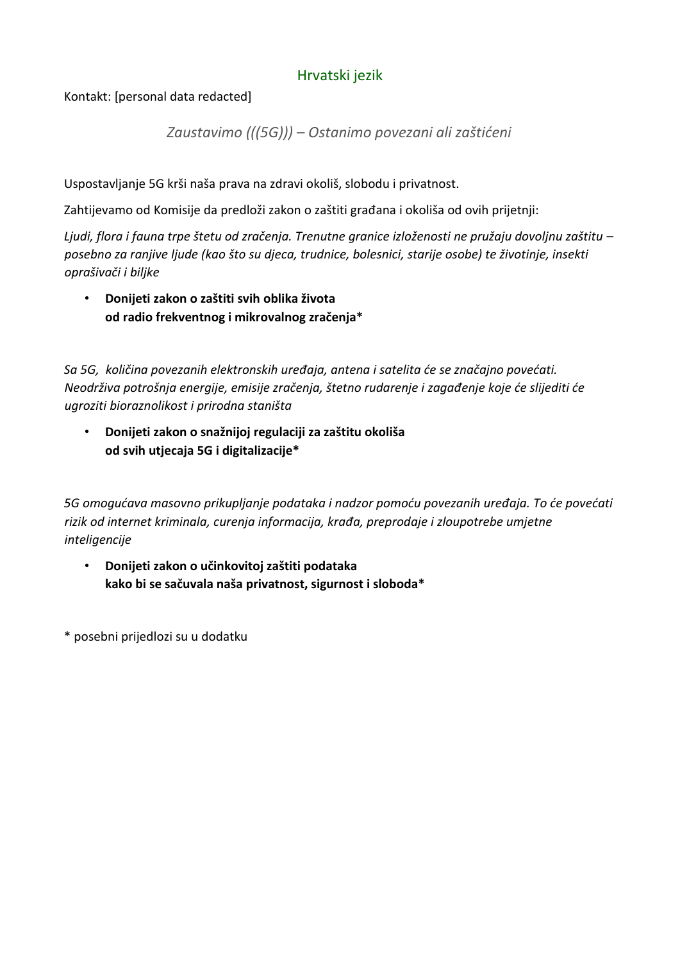#### Hrvatski jezik

Kontakt: [personal data redacted]

*Zaustavimo (((5G))) – Ostanimo povezani ali zaštićeni*

Uspostavljanje 5G krši naša prava na zdravi okoliš, slobodu i privatnost.

Zahtijevamo od Komisije da predloži zakon o zaštiti građana i okoliša od ovih prijetnji:

*Ljudi, flora i fauna trpe štetu od zračenja. Trenutne granice izloženosti ne pružaju dovoljnu zaštitu – posebno za ranjive ljude (kao što su djeca, trudnice, bolesnici, starije osobe) te životinje, insekti oprašivači i biljke*

• **Donijeti zakon o zaštiti svih oblika života od radio frekventnog i mikrovalnog zračenja\***

*Sa 5G, količina povezanih elektronskih uređaja, antena i satelita će se značajno povećati. Neodrživa potrošnja energije, emisije zračenja, štetno rudarenje i zagađenje koje će slijediti će ugroziti bioraznolikost i prirodna staništa*

• **Donijeti zakon o snažnijoj regulaciji za zaštitu okoliša od svih utjecaja 5G i digitalizacije\***

*5G omogućava masovno prikupljanje podataka i nadzor pomoću povezanih uređaja. To će povećati rizik od internet kriminala, curenja informacija, krađa, preprodaje i zloupotrebe umjetne inteligencije*

• **Donijeti zakon o učinkovitoj zaštiti podataka kako bi se sačuvala naša privatnost, sigurnost i sloboda\*** 

<span id="page-14-0"></span>\* posebni prijedlozi su u dodatku